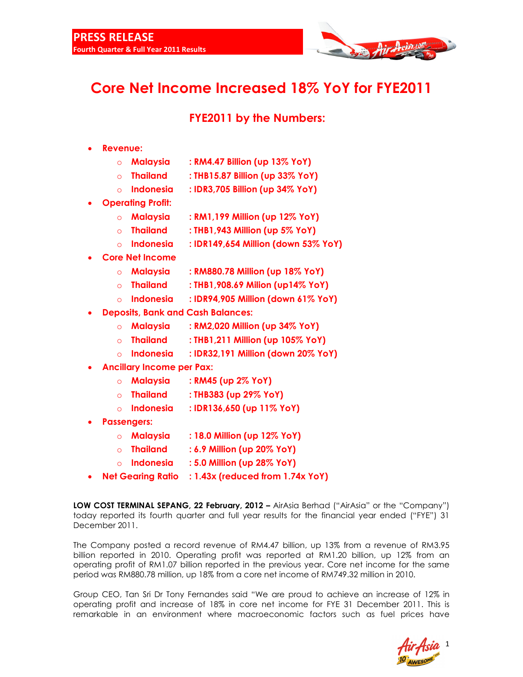

# **Core Net Income Increased 18% YoY for FYE2011**

## **FYE2011 by the Numbers:**

- **Revenue:** 
	- o **Malaysia : RM4.47 Billion (up 13% YoY)**
	- o **Thailand : THB15.87 Billion (up 33% YoY)**
	- o **Indonesia : IDR3,705 Billion (up 34% YoY)**
- **Operating Profit:** 
	- o **Malaysia : RM1,199 Million (up 12% YoY)**
	- o **Thailand : THB1,943 Million (up 5% YoY)**
	- o **Indonesia : IDR149,654 Million (down 53% YoY)**
- **Core Net Income** 
	- o **Malaysia : RM880.78 Million (up 18% YoY)**
	- o **Thailand : THB1,908.69 Milion (up14% YoY)**
	- o **Indonesia : IDR94,905 Million (down 61% YoY)**
- **Deposits, Bank and Cash Balances:** 
	- o **Malaysia : RM2,020 Million (up 34% YoY)**
	- o **Thailand : THB1,211 Million (up 105% YoY)**
	- o **Indonesia : IDR32,191 Million (down 20% YoY)**
- **Ancillary Income per Pax:** 
	- o **Malaysia : RM45 (up 2% YoY)**
	- o **Thailand : THB383 (up 29% YoY)**
	- o **Indonesia : IDR136,650 (up 11% YoY)**
- **Passengers:** 
	- o **Malaysia : 18.0 Million (up 12% YoY)**
	- o **Thailand : 6.9 Million (up 20% YoY)**
	- o **Indonesia : 5.0 Million (up 28% YoY)**
- **Net Gearing Ratio : 1.43x (reduced from 1.74x YoY)**

**LOW COST TERMINAL SEPANG, 22 February, 2012 –** AirAsia Berhad ("AirAsia" or the "Company") today reported its fourth quarter and full year results for the financial year ended ("FYE") 31 December 2011.

The Company posted a record revenue of RM4.47 billion, up 13% from a revenue of RM3.95 billion reported in 2010. Operating profit was reported at RM1.20 billion, up 12% from an operating profit of RM1.07 billion reported in the previous year. Core net income for the same period was RM880.78 million, up 18% from a core net income of RM749.32 million in 2010.

Group CEO, Tan Sri Dr Tony Fernandes said "We are proud to achieve an increase of 12% in operating profit and increase of 18% in core net income for FYE 31 December 2011. This is remarkable in an environment where macroeconomic factors such as fuel prices have

1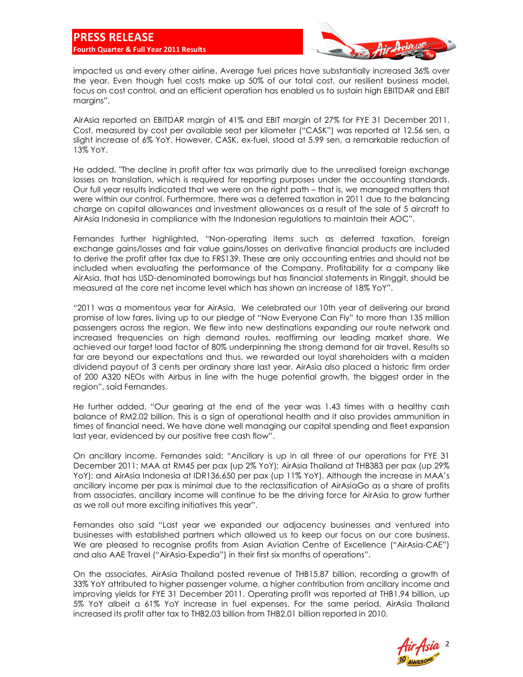

impacted us and every other airline. Average fuel prices have substantially increased 36% over the year. Even though fuel costs make up 50% of our total cost, our resilient business model, focus on cost control, and an efficient operation has enabled us to sustain high EBITDAR and EBIT margins".

AirAsia reported an EBITDAR margin of 41% and EBIT margin of 27% for FYE 31 December 2011. Cost, measured by cost per available seat per kilometer ("CASK") was reported at 12.56 sen, a slight increase of 6% YoY. However, CASK, ex-fuel, stood at 5.99 sen, a remarkable reduction of 13% YoY.

He added, "The decline in profit after tax was primarily due to the unrealised foreign exchange losses on translation, which is required for reporting purposes under the accounting standards. Our full year results indicated that we were on the right path – that is, we managed matters that were within our control. Furthermore, there was a deferred taxation in 2011 due to the balancing charge on capital allowances and investment allowances as a result of the sale of 5 aircraft to AirAsia Indonesia in compliance with the Indonesian regulations to maintain their AOC".

Fernandes further highlighted, "Non-operating items such as deferred taxation, foreign exchange gains/losses and fair value gains/losses on derivative financial products are included to derive the profit after tax due to FRS139. These are only accounting entries and should not be included when evaluating the performance of the Company. Profitability for a company like AirAsia, that has USD-denominated borrowings but has financial statements in Ringgit, should be measured at the core net income level which has shown an increase of 18% YoY".

"2011 was a momentous year for AirAsia. We celebrated our 10th year of delivering our brand promise of low fares, living up to our pledge of "Now Everyone Can Fly" to more than 135 million passengers across the region. We flew into new destinations expanding our route network and increased frequencies on high demand routes, reaffirming our leading market share. We achieved our target load factor of 80% underpinning the strong demand for air travel. Results so far are beyond our expectations and thus, we rewarded our loyal shareholders with a maiden dividend payout of 3 cents per ordinary share last year. AirAsia also placed a historic firm order of 200 A320 NEOs with Airbus in line with the huge potential growth, the biggest order in the region", said Fernandes.

He further added, "Our gearing at the end of the year was 1.43 times with a healthy cash balance of RM2.02 billion. This is a sign of operational health and it also provides ammunition in times of financial need. We have done well managing our capital spending and fleet expansion last year, evidenced by our positive free cash flow".

On ancillary income, Fernandes said: "Ancillary is up in all three of our operations for FYE 31 December 2011: MAA at RM45 per pax (up 2% YoY); AirAsia Thailand at THB383 per pax (up 29% YoY); and AirAsia Indonesia at IDR136,650 per pax (up 11% YoY). Although the increase in MAA's ancillary income per pax is minimal due to the reclassification of AirAsiaGo as a share of profits from associates, ancillary income will continue to be the driving force for AirAsia to grow further as we roll out more exciting initiatives this year".

Fernandes also said "Last year we expanded our adjacency businesses and ventured into businesses with established partners which allowed us to keep our focus on our core business. We are pleased to recognise profits from Asian Aviation Centre of Excellence ("AirAsia-CAE") and also AAE Travel ("AirAsia-Expedia") in their first six months of operations".

On the associates, AirAsia Thailand posted revenue of THB15.87 billion, recording a growth of 33% YoY attributed to higher passenger volume, a higher contribution from ancillary income and improving yields for FYE 31 December 2011. Operating profit was reported at THB1.94 billion, up 5% YoY albeit a 61% YoY increase in fuel expenses. For the same period, AirAsia Thailand increased its profit after tax to THB2.03 billion from THB2.01 billion reported in 2010.

2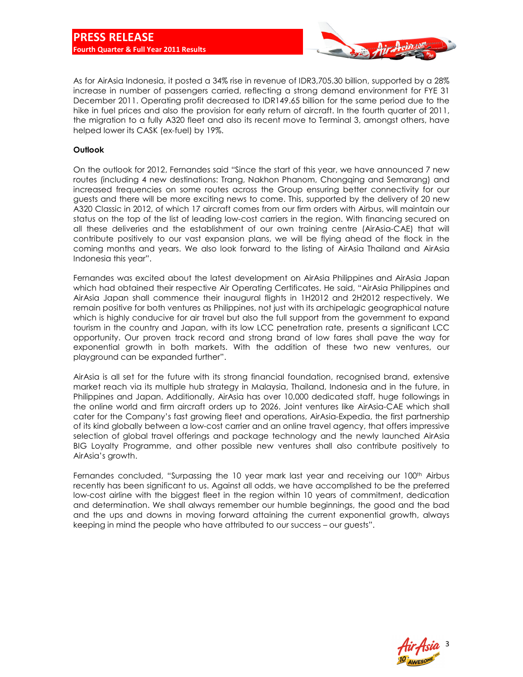

As for AirAsia Indonesia, it posted a 34% rise in revenue of IDR3,705.30 billion, supported by a 28% increase in number of passengers carried, reflecting a strong demand environment for FYE 31 December 2011. Operating profit decreased to IDR149.65 billion for the same period due to the hike in fuel prices and also the provision for early return of aircraft. In the fourth quarter of 2011, the migration to a fully A320 fleet and also its recent move to Terminal 3, amongst others, have helped lower its CASK (ex-fuel) by 19%.

#### **Outlook**

On the outlook for 2012, Fernandes said "Since the start of this year, we have announced 7 new routes (including 4 new destinations: Trang, Nakhon Phanom, Chongqing and Semarang) and increased frequencies on some routes across the Group ensuring better connectivity for our guests and there will be more exciting news to come. This, supported by the delivery of 20 new A320 Classic in 2012, of which 17 aircraft comes from our firm orders with Airbus, will maintain our status on the top of the list of leading low-cost carriers in the region. With financing secured on all these deliveries and the establishment of our own training centre (AirAsia-CAE) that will contribute positively to our vast expansion plans, we will be flying ahead of the flock in the coming months and years. We also look forward to the listing of AirAsia Thailand and AirAsia Indonesia this year".

Fernandes was excited about the latest development on AirAsia Philippines and AirAsia Japan which had obtained their respective Air Operating Certificates. He said, "AirAsia Philippines and AirAsia Japan shall commence their inaugural flights in 1H2012 and 2H2012 respectively. We remain positive for both ventures as Philippines, not just with its archipelagic geographical nature which is highly conducive for air travel but also the full support from the government to expand tourism in the country and Japan, with its low LCC penetration rate, presents a significant LCC opportunity. Our proven track record and strong brand of low fares shall pave the way for exponential growth in both markets. With the addition of these two new ventures, our playground can be expanded further".

AirAsia is all set for the future with its strong financial foundation, recognised brand, extensive market reach via its multiple hub strategy in Malaysia, Thailand, Indonesia and in the future, in Philippines and Japan. Additionally, AirAsia has over 10,000 dedicated staff, huge followings in the online world and firm aircraft orders up to 2026. Joint ventures like AirAsia-CAE which shall cater for the Company's fast growing fleet and operations, AirAsia-Expedia, the first partnership of its kind globally between a low-cost carrier and an online travel agency, that offers impressive selection of global travel offerings and package technology and the newly launched AirAsia BIG Loyalty Programme, and other possible new ventures shall also contribute positively to AirAsia's growth.

Fernandes concluded, "Surpassing the 10 year mark last year and receiving our 100<sup>th</sup> Airbus recently has been significant to us. Against all odds, we have accomplished to be the preferred low-cost airline with the biggest fleet in the region within 10 years of commitment, dedication and determination. We shall always remember our humble beginnings, the good and the bad and the ups and downs in moving forward attaining the current exponential growth, always keeping in mind the people who have attributed to our success – our guests".

3